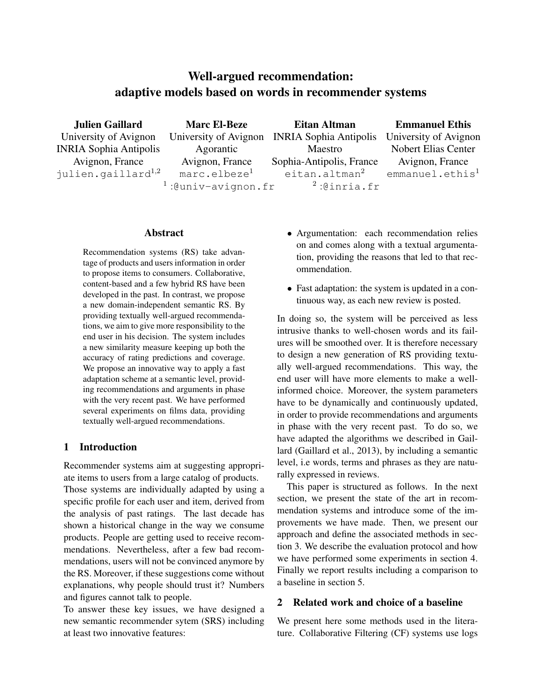# Well-argued recommendation: adaptive models based on words in recommender systems

Julien Gaillard University of Avignon INRIA Sophia Antipolis Avignon, France julien. $q$ aillar $d^{1,2}$ 

Marc El-Beze University of Avignon Agorantic Avignon, France marc.elbeze<sup>1</sup>  $^{1}$ :@univ-avignon.fr  $^{2}$ 

Eitan Altman INRIA Sophia Antipolis Maestro Sophia-Antipolis, France eitan.altman<sup>2</sup>  $2:$ @inria.fr

Emmanuel Ethis University of Avignon Nobert Elias Center Avignon, France  $emmanuel.ethis<sup>1</sup>$ 

# Abstract

Recommendation systems (RS) take advantage of products and users information in order to propose items to consumers. Collaborative, content-based and a few hybrid RS have been developed in the past. In contrast, we propose a new domain-independent semantic RS. By providing textually well-argued recommendations, we aim to give more responsibility to the end user in his decision. The system includes a new similarity measure keeping up both the accuracy of rating predictions and coverage. We propose an innovative way to apply a fast adaptation scheme at a semantic level, providing recommendations and arguments in phase with the very recent past. We have performed several experiments on films data, providing textually well-argued recommendations.

# 1 Introduction

Recommender systems aim at suggesting appropriate items to users from a large catalog of products.

Those systems are individually adapted by using a specific profile for each user and item, derived from the analysis of past ratings. The last decade has shown a historical change in the way we consume products. People are getting used to receive recommendations. Nevertheless, after a few bad recommendations, users will not be convinced anymore by the RS. Moreover, if these suggestions come without explanations, why people should trust it? Numbers and figures cannot talk to people.

To answer these key issues, we have designed a new semantic recommender sytem (SRS) including at least two innovative features:

- Argumentation: each recommendation relies on and comes along with a textual argumentation, providing the reasons that led to that recommendation.
- Fast adaptation: the system is updated in a continuous way, as each new review is posted.

In doing so, the system will be perceived as less intrusive thanks to well-chosen words and its failures will be smoothed over. It is therefore necessary to design a new generation of RS providing textually well-argued recommendations. This way, the end user will have more elements to make a wellinformed choice. Moreover, the system parameters have to be dynamically and continuously updated, in order to provide recommendations and arguments in phase with the very recent past. To do so, we have adapted the algorithms we described in Gaillard (Gaillard et al., 2013), by including a semantic level, i.e words, terms and phrases as they are naturally expressed in reviews.

This paper is structured as follows. In the next section, we present the state of the art in recommendation systems and introduce some of the improvements we have made. Then, we present our approach and define the associated methods in section 3. We describe the evaluation protocol and how we have performed some experiments in section 4. Finally we report results including a comparison to a baseline in section 5.

# 2 Related work and choice of a baseline

We present here some methods used in the literature. Collaborative Filtering (CF) systems use logs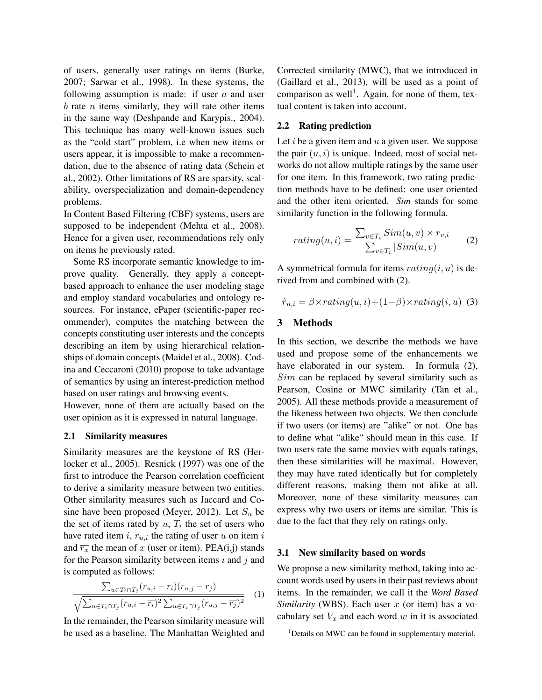of users, generally user ratings on items (Burke, 2007; Sarwar et al., 1998). In these systems, the following assumption is made: if user  $a$  and user  $b$  rate  $n$  items similarly, they will rate other items in the same way (Deshpande and Karypis., 2004). This technique has many well-known issues such as the "cold start" problem, i.e when new items or users appear, it is impossible to make a recommendation, due to the absence of rating data (Schein et al., 2002). Other limitations of RS are sparsity, scalability, overspecialization and domain-dependency problems.

In Content Based Filtering (CBF) systems, users are supposed to be independent (Mehta et al., 2008). Hence for a given user, recommendations rely only on items he previously rated.

Some RS incorporate semantic knowledge to improve quality. Generally, they apply a conceptbased approach to enhance the user modeling stage and employ standard vocabularies and ontology resources. For instance, ePaper (scientific-paper recommender), computes the matching between the concepts constituting user interests and the concepts describing an item by using hierarchical relationships of domain concepts (Maidel et al., 2008). Codina and Ceccaroni (2010) propose to take advantage of semantics by using an interest-prediction method based on user ratings and browsing events.

However, none of them are actually based on the user opinion as it is expressed in natural language.

#### 2.1 Similarity measures

Similarity measures are the keystone of RS (Herlocker et al., 2005). Resnick (1997) was one of the first to introduce the Pearson correlation coefficient to derive a similarity measure between two entities. Other similarity measures such as Jaccard and Cosine have been proposed (Meyer, 2012). Let  $S_u$  be the set of items rated by  $u$ ,  $T_i$  the set of users who have rated item  $i, r_{u,i}$  the rating of user u on item  $i$ and  $\overline{r_x}$  the mean of x (user or item). PEA(i,j) stands for the Pearson similarity between items  $i$  and  $j$  and is computed as follows:

$$
\frac{\sum_{u \in T_i \cap T_j} (r_{u,i} - \overline{r_i})(r_{u,j} - \overline{r_j})}{\sqrt{\sum_{u \in T_i \cap T_j} (r_{u,i} - \overline{r_i})^2 \sum_{u \in T_i \cap T_j} (r_{u,j} - \overline{r_j})^2}} \quad (1)
$$

In the remainder, the Pearson similarity measure will be used as a baseline. The Manhattan Weighted and Corrected similarity (MWC), that we introduced in (Gaillard et al., 2013), will be used as a point of comparison as well<sup>1</sup>. Again, for none of them, textual content is taken into account.

### 2.2 Rating prediction

Let  $i$  be a given item and  $u$  a given user. We suppose the pair  $(u, i)$  is unique. Indeed, most of social networks do not allow multiple ratings by the same user for one item. In this framework, two rating prediction methods have to be defined: one user oriented and the other item oriented. *Sim* stands for some similarity function in the following formula.

$$
rating(u, i) = \frac{\sum_{v \in T_i} Sim(u, v) \times r_{v,i}}{\sum_{v \in T_i} |Sim(u, v)|}
$$
 (2)

A symmetrical formula for items  $rating(i, u)$  is derived from and combined with (2).

$$
\hat{r}_{u,i} = \beta \times rating(u,i) + (1-\beta) \times rating(i,u)
$$
 (3)

### 3 Methods

In this section, we describe the methods we have used and propose some of the enhancements we have elaborated in our system. In formula (2),  $Sim$  can be replaced by several similarity such as Pearson, Cosine or MWC similarity (Tan et al., 2005). All these methods provide a measurement of the likeness between two objects. We then conclude if two users (or items) are "alike" or not. One has to define what "alike" should mean in this case. If two users rate the same movies with equals ratings, then these similarities will be maximal. However, they may have rated identically but for completely different reasons, making them not alike at all. Moreover, none of these similarity measures can express why two users or items are similar. This is due to the fact that they rely on ratings only.

#### 3.1 New similarity based on words

We propose a new similarity method, taking into account words used by users in their past reviews about items. In the remainder, we call it the *Word Based Similarity* (WBS). Each user x (or item) has a vocabulary set  $V_x$  and each word  $w$  in it is associated

<sup>&</sup>lt;sup>1</sup>Details on MWC can be found in supplementary material.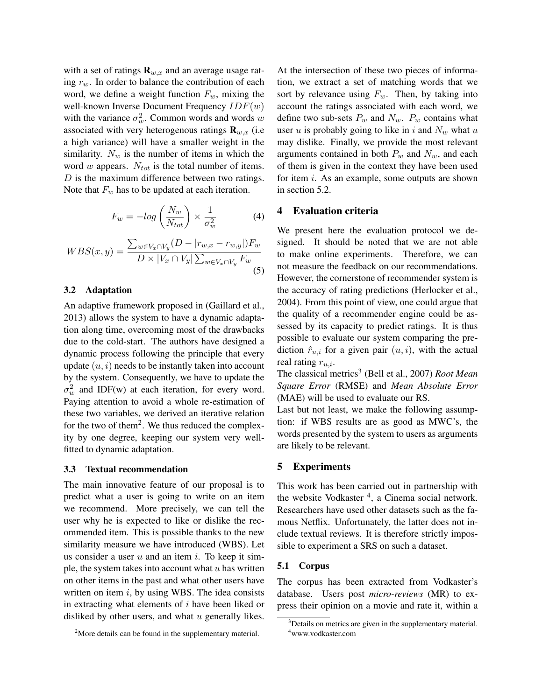with a set of ratings  $\mathbf{R}_{w,x}$  and an average usage rating  $\overline{r_w}$ . In order to balance the contribution of each word, we define a weight function  $F_w$ , mixing the well-known Inverse Document Frequency  $IDF(w)$ with the variance  $\sigma_w^2$ . Common words and words w associated with very heterogenous ratings  $\mathbf{R}_{w,x}$  (i.e. a high variance) will have a smaller weight in the similarity.  $N_w$  is the number of items in which the word w appears.  $N_{tot}$  is the total number of items.  $D$  is the maximum difference between two ratings. Note that  $F_w$  has to be updated at each iteration.

$$
F_w = -\log\left(\frac{N_w}{N_{tot}}\right) \times \frac{1}{\sigma_w^2} \tag{4}
$$

$$
WBS(x,y) = \frac{\sum_{w \in V_x \cap V_y} (D - |\overline{r_{w,x}} - \overline{r_{w,y}}|) F_w}{D \times |V_x \cap V_y| \sum_{w \in V_x \cap V_y} F_w}
$$
\n(5)

# 3.2 Adaptation

An adaptive framework proposed in (Gaillard et al., 2013) allows the system to have a dynamic adaptation along time, overcoming most of the drawbacks due to the cold-start. The authors have designed a dynamic process following the principle that every update  $(u, i)$  needs to be instantly taken into account by the system. Consequently, we have to update the  $\sigma_w^2$  and IDF(w) at each iteration, for every word. Paying attention to avoid a whole re-estimation of these two variables, we derived an iterative relation for the two of them<sup>2</sup>. We thus reduced the complexity by one degree, keeping our system very wellfitted to dynamic adaptation.

#### 3.3 Textual recommendation

The main innovative feature of our proposal is to predict what a user is going to write on an item we recommend. More precisely, we can tell the user why he is expected to like or dislike the recommended item. This is possible thanks to the new similarity measure we have introduced (WBS). Let us consider a user  $u$  and an item  $i$ . To keep it simple, the system takes into account what  $u$  has written on other items in the past and what other users have written on item  $i$ , by using WBS. The idea consists in extracting what elements of i have been liked or disliked by other users, and what  $u$  generally likes.

At the intersection of these two pieces of information, we extract a set of matching words that we sort by relevance using  $F_w$ . Then, by taking into account the ratings associated with each word, we define two sub-sets  $P_w$  and  $N_w$ .  $P_w$  contains what user  $u$  is probably going to like in  $i$  and  $N_w$  what  $u$ may dislike. Finally, we provide the most relevant arguments contained in both  $P_w$  and  $N_w$ , and each of them is given in the context they have been used for item i. As an example, some outputs are shown in section 5.2.

### 4 Evaluation criteria

We present here the evaluation protocol we designed. It should be noted that we are not able to make online experiments. Therefore, we can not measure the feedback on our recommendations. However, the cornerstone of recommender system is the accuracy of rating predictions (Herlocker et al., 2004). From this point of view, one could argue that the quality of a recommender engine could be assessed by its capacity to predict ratings. It is thus possible to evaluate our system comparing the prediction  $\hat{r}_{u,i}$  for a given pair  $(u, i)$ , with the actual real rating  $r_{u,i}$ .

The classical metrics<sup>3</sup> (Bell et al., 2007) *Root Mean Square Error* (RMSE) and *Mean Absolute Error* (MAE) will be used to evaluate our RS.

Last but not least, we make the following assumption: if WBS results are as good as MWC's, the words presented by the system to users as arguments are likely to be relevant.

#### 5 Experiments

This work has been carried out in partnership with the website Vodkaster<sup>4</sup>, a Cinema social network. Researchers have used other datasets such as the famous Netflix. Unfortunately, the latter does not include textual reviews. It is therefore strictly impossible to experiment a SRS on such a dataset.

#### 5.1 Corpus

The corpus has been extracted from Vodkaster's database. Users post *micro-reviews* (MR) to express their opinion on a movie and rate it, within a

<sup>&</sup>lt;sup>2</sup>More details can be found in the supplementary material.

 $3$ Details on metrics are given in the supplementary material. <sup>4</sup>www.vodkaster.com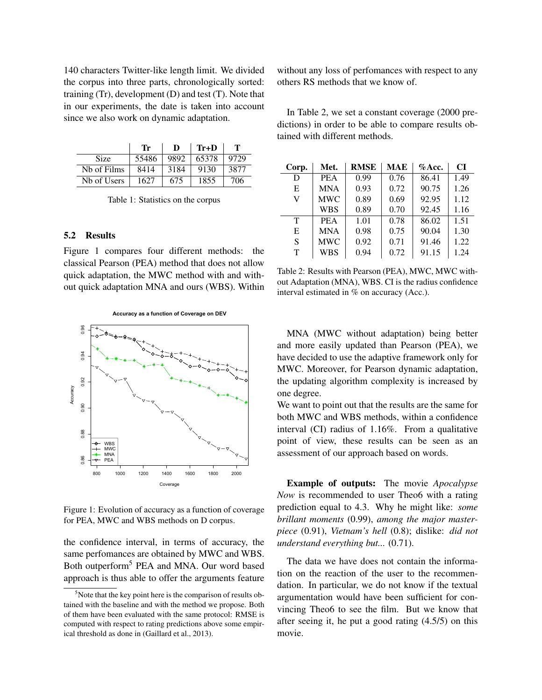140 characters Twitter-like length limit. We divided the corpus into three parts, chronologically sorted: training  $(Tr)$ , development  $(D)$  and test  $(T)$ . Note that in our experiments, the date is taken into account since we also work on dynamic adaptation.

|             | Тr    | D    | $Tr+D$ |      |
|-------------|-------|------|--------|------|
| <b>Size</b> | 55486 | 9892 | 65378  | 9729 |
| Nb of Films | 8414  | 3184 | 9130   | 3877 |
| Nh of Users | 1627  | 675  | 1855   | 706  |

Table 1: Statistics on the corpus

# 5.2 Results

Figure 1 compares four different methods: the classical Pearson (PEA) method that does not allow quick adaptation, the MWC method with and without quick adaptation MNA and ours (WBS). Within



Figure 1: Evolution of accuracy as a function of coverage for PEA, MWC and WBS methods on D corpus.

the confidence interval, in terms of accuracy, the same perfomances are obtained by MWC and WBS. Both outperform<sup>5</sup> PEA and MNA. Our word based approach is thus able to offer the arguments feature without any loss of perfomances with respect to any others RS methods that we know of.

In Table 2, we set a constant coverage (2000 predictions) in order to be able to compare results obtained with different methods.

| Corp. | Met.       | <b>RMSE</b> | <b>MAE</b> | $%$ Acc. | CI   |
|-------|------------|-------------|------------|----------|------|
| D     | <b>PEA</b> | 0.99        | 0.76       | 86.41    | 1.49 |
| E     | <b>MNA</b> | 0.93        | 0.72       | 90.75    | 1.26 |
| V     | <b>MWC</b> | 0.89        | 0.69       | 92.95    | 1.12 |
|       | <b>WBS</b> | 0.89        | 0.70       | 92.45    | 1.16 |
| T     | <b>PEA</b> | 1.01        | 0.78       | 86.02    | 1.51 |
| E     | <b>MNA</b> | 0.98        | 0.75       | 90.04    | 1.30 |
| S     | <b>MWC</b> | 0.92        | 0.71       | 91.46    | 1.22 |
| T     | WBS        | 0.94        | 0.72       | 91.15    | 1.24 |

Table 2: Results with Pearson (PEA), MWC, MWC without Adaptation (MNA), WBS. CI is the radius confidence interval estimated in % on accuracy (Acc.).

MNA (MWC without adaptation) being better and more easily updated than Pearson (PEA), we have decided to use the adaptive framework only for MWC. Moreover, for Pearson dynamic adaptation, the updating algorithm complexity is increased by one degree.

We want to point out that the results are the same for both MWC and WBS methods, within a confidence interval (CI) radius of 1.16%. From a qualitative point of view, these results can be seen as an assessment of our approach based on words.

Example of outputs: The movie *Apocalypse Now* is recommended to user Theo6 with a rating prediction equal to 4.3. Why he might like: *some brillant moments* (0.99), *among the major masterpiece* (0.91), *Vietnam's hell* (0.8); dislike: *did not understand everything but...* (0.71).

The data we have does not contain the information on the reaction of the user to the recommendation. In particular, we do not know if the textual argumentation would have been sufficient for convincing Theo6 to see the film. But we know that after seeing it, he put a good rating (4.5/5) on this movie.

 $5$ Note that the key point here is the comparison of results obtained with the baseline and with the method we propose. Both of them have been evaluated with the same protocol: RMSE is computed with respect to rating predictions above some empirical threshold as done in (Gaillard et al., 2013).